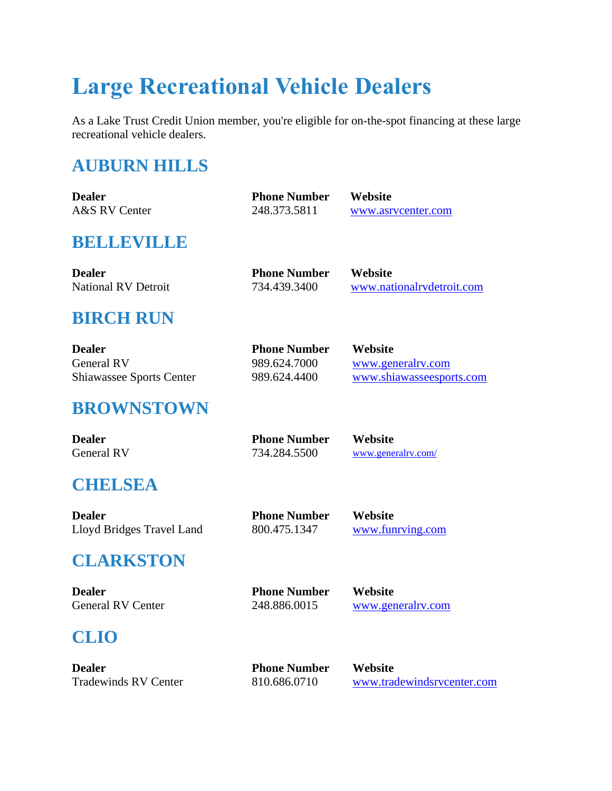# **Large Recreational Vehicle Dealers**

As a Lake Trust Credit Union member, you're eligible for on-the-spot financing at these large recreational vehicle dealers.

# **AUBURN HILLS**

| <b>Dealer</b> | <b>Phone Number</b> | <b>Website</b>     |
|---------------|---------------------|--------------------|
| A&S RV Center | 248.373.5811        | www.asrycenter.com |

#### **BELLEVILLE**

| <b>Dealer</b>              | <b>Phone Number</b> | <b>Website</b>            |
|----------------------------|---------------------|---------------------------|
| <b>National RV Detroit</b> | 734.439.3400        | www.nationalrydetroit.com |

# **BIRCH RUN**

| <b>Dealer</b>                   | <b>Phone Number</b> | <b>Website</b>           |
|---------------------------------|---------------------|--------------------------|
| General RV                      | 989.624.7000        | www.generalry.com        |
| <b>Shiawassee Sports Center</b> | 989.624.4400        | www.shiawasseesports.com |

#### **BROWNSTOWN**

| <b>Dealer</b>     | <b>Phone Number</b> | Website            |
|-------------------|---------------------|--------------------|
| <b>General RV</b> | 734.284.5500        | www.generalry.com/ |

# **CHELSEA**

| <b>Dealer</b>             | <b>Phone Number</b> | <b>Website</b>   |
|---------------------------|---------------------|------------------|
| Lloyd Bridges Travel Land | 800.475.1347        | www.funrying.com |

# **CLARKSTON**

**Dealer Phone Number Website** General RV Center 248.886.0015 [www.generalrv.com](https://www.generalrv.com/rv-dealer/clarkston-michigan)

# **CLIO**

| <b>Dealer</b>               |
|-----------------------------|
| <b>Tradewinds RV Center</b> |

**Phone Number Website** 

810.686.0710 [www.tradewindsrvcenter.com](http://www.tradewindsrvcenter.com/)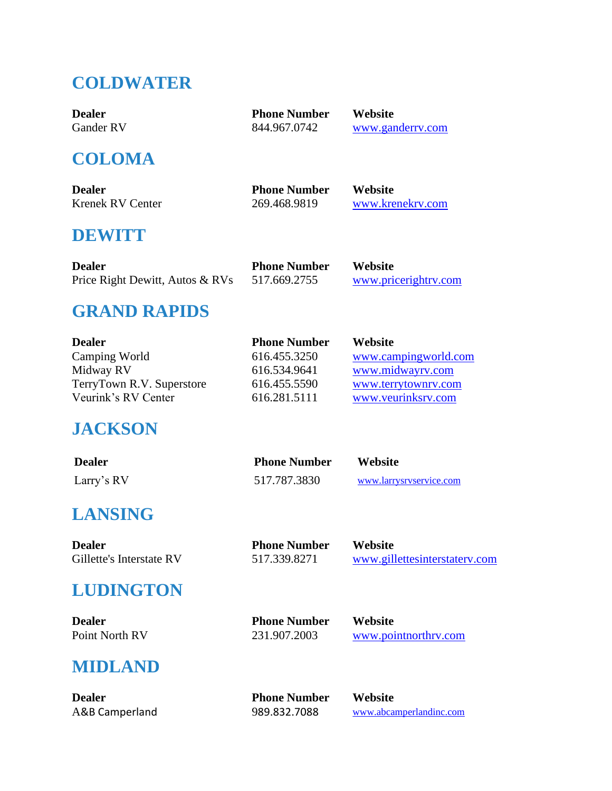# **COLDWATER**

| <b>Dealer</b> | <b>Phone Number</b> | <b>Website</b>   |
|---------------|---------------------|------------------|
| Gander RV     | 844.967.0742        | www.ganderry.com |
|               |                     |                  |

#### **COLOMA**

| <b>Dealer</b>    | <b>Phone Number</b> | Website          |
|------------------|---------------------|------------------|
| Krenek RV Center | 269.468.9819        | www.krenekry.com |

#### **DEWITT**

| <b>Dealer</b>                   | <b>Phone Number</b> | <b>Website</b>       |
|---------------------------------|---------------------|----------------------|
| Price Right Dewitt, Autos & RVs | 517.669.2755        | www.pricerightry.com |

#### **GRAND RAPIDS**

| <b>Dealer</b>             | <b>Phone Number</b> | <b>Website</b>       |
|---------------------------|---------------------|----------------------|
| Camping World             | 616.455.3250        | www.campingworld.com |
| Midway RV                 | 616.534.9641        | www.midwayrv.com     |
| TerryTown R.V. Superstore | 616.455.5590        | www.terrytownrv.com  |
| Veurink's RV Center       | 616.281.5111        | www.veurinksrv.com   |

#### **JACKSON**

| <b>Dealer</b> | <b>Phone Number</b> | Website                 |
|---------------|---------------------|-------------------------|
| Larry's RV    | 517.787.3830        | www.larrysryservice.com |

# **LANSING**

**Dealer Phone Number Website**<br>Gillette's Interstate RV 517.339.8271 **WWW.gill** 

# **LUDINGTON**

**Dealer Phone Number Website**

Point North RV 231.907.2003 [www.pointnorthrv.com](http://www.pointnorthrv.com/)

www.gillettesinterstatery.com

# **MIDLAND**

**Dealer Phone Number Website**

A&B Camperland 989.832.7088 [www.abcamperlandinc.com](http://www.cueter.com/)